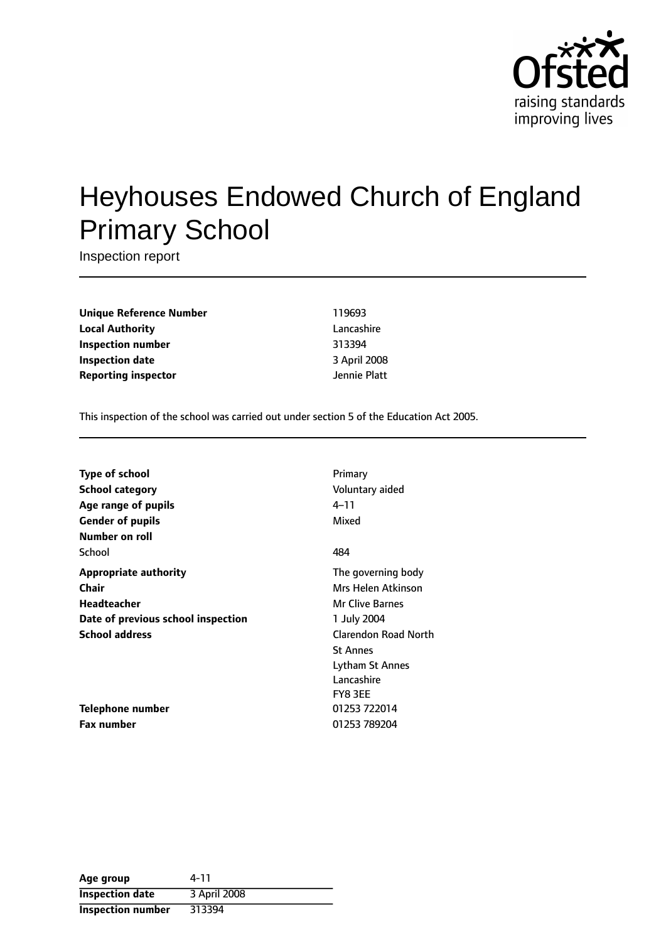

# Heyhouses Endowed Church of England Primary School

Inspection report

**Unique Reference Number** 119693 **Local Authority** Lancashire **Inspection number** 313394 **Inspection date** 3 April 2008 **Reporting inspector department of the UP** Jennie Platt

This inspection of the school was carried out under section 5 of the Education Act 2005.

| <b>Type of school</b>              | Primary                |
|------------------------------------|------------------------|
| <b>School category</b>             | Voluntary aided        |
| Age range of pupils                | 4–11                   |
| <b>Gender of pupils</b>            | Mixed                  |
| Number on roll                     |                        |
| School                             | 484                    |
| <b>Appropriate authority</b>       | The governing body     |
| Chair                              | Mrs Helen Atkinson     |
| Headteacher                        | <b>Mr Clive Barnes</b> |
| Date of previous school inspection | 1 July 2004            |
| <b>School address</b>              | Clarendon Road North   |
|                                    | <b>St Annes</b>        |
|                                    | Lytham St Annes        |
|                                    | Lancashire             |
|                                    | FY8 3EE                |
| <b>Telephone number</b>            | 01253 722014           |
| <b>Fax number</b>                  | 01253 789204           |

| Age group                | 4-11         |
|--------------------------|--------------|
| <b>Inspection date</b>   | 3 April 2008 |
| <b>Inspection number</b> | 313394       |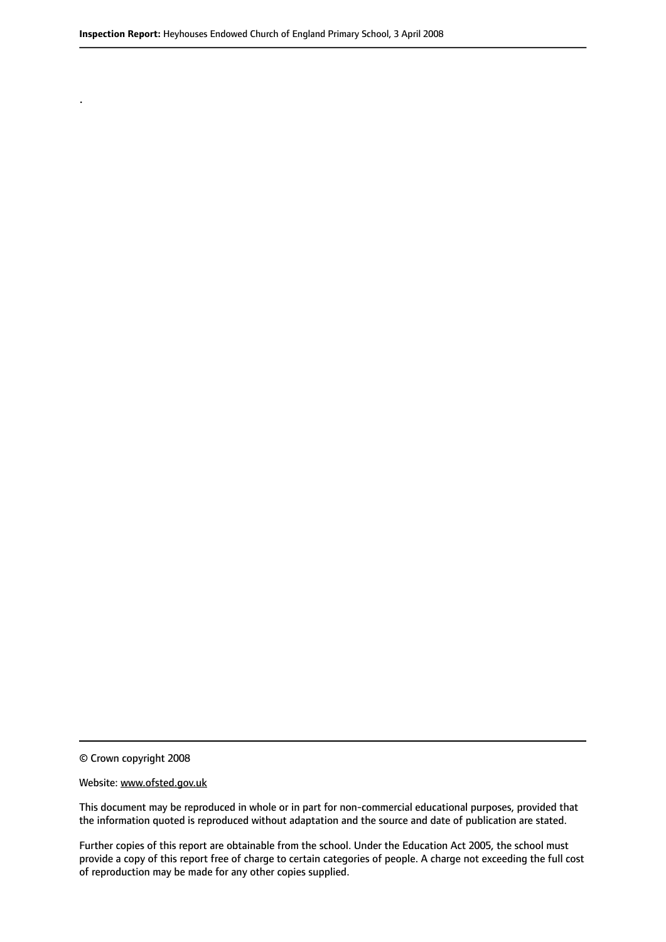© Crown copyright 2008

.

#### Website: www.ofsted.gov.uk

This document may be reproduced in whole or in part for non-commercial educational purposes, provided that the information quoted is reproduced without adaptation and the source and date of publication are stated.

Further copies of this report are obtainable from the school. Under the Education Act 2005, the school must provide a copy of this report free of charge to certain categories of people. A charge not exceeding the full cost of reproduction may be made for any other copies supplied.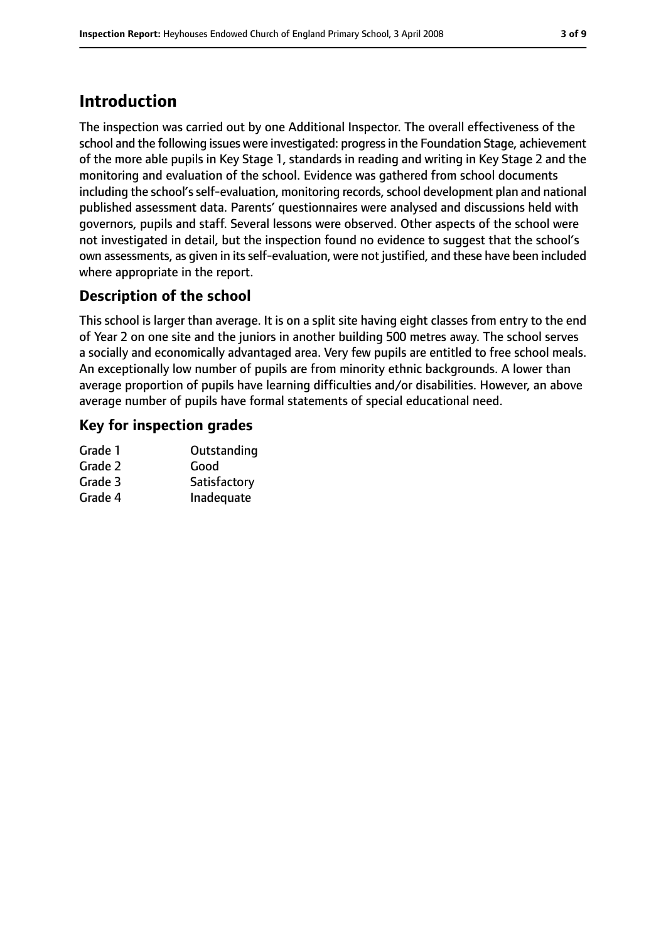# **Introduction**

The inspection was carried out by one Additional Inspector. The overall effectiveness of the school and the following issues were investigated: progressin the Foundation Stage, achievement of the more able pupils in Key Stage 1, standards in reading and writing in Key Stage 2 and the monitoring and evaluation of the school. Evidence was gathered from school documents including the school's self-evaluation, monitoring records, school development plan and national published assessment data. Parents' questionnaires were analysed and discussions held with governors, pupils and staff. Several lessons were observed. Other aspects of the school were not investigated in detail, but the inspection found no evidence to suggest that the school's own assessments, as given in its self-evaluation, were not justified, and these have been included where appropriate in the report.

## **Description of the school**

This school is larger than average. It is on a split site having eight classes from entry to the end of Year 2 on one site and the juniors in another building 500 metres away. The school serves a socially and economically advantaged area. Very few pupils are entitled to free school meals. An exceptionally low number of pupils are from minority ethnic backgrounds. A lower than average proportion of pupils have learning difficulties and/or disabilities. However, an above average number of pupils have formal statements of special educational need.

#### **Key for inspection grades**

| Grade 1 | Outstanding  |
|---------|--------------|
| Grade 2 | Good         |
| Grade 3 | Satisfactory |
| Grade 4 | Inadequate   |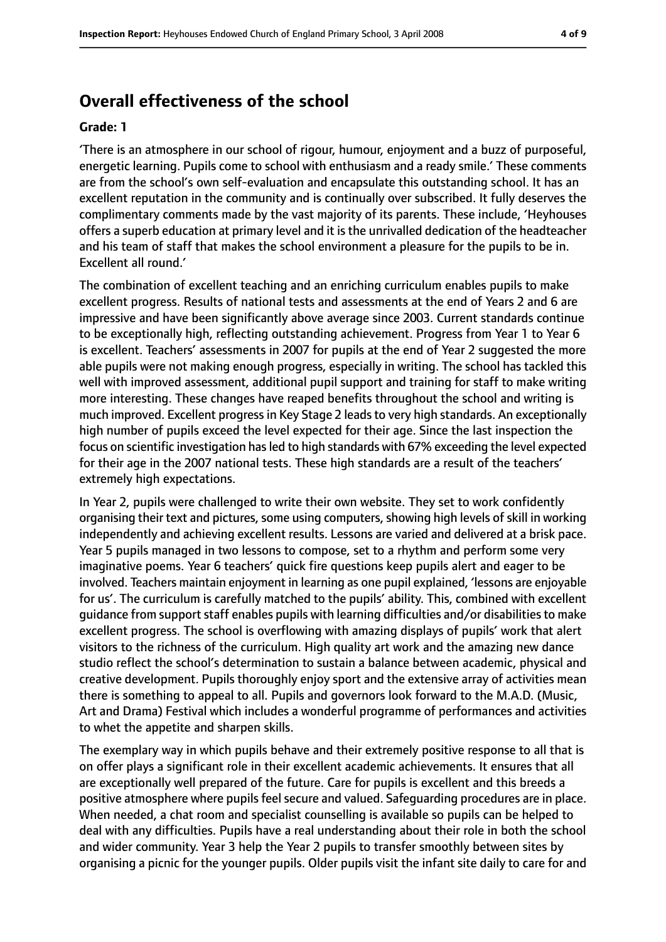## **Overall effectiveness of the school**

#### **Grade: 1**

'There is an atmosphere in our school of rigour, humour, enjoyment and a buzz of purposeful, energetic learning. Pupils come to school with enthusiasm and a ready smile.' These comments are from the school's own self-evaluation and encapsulate this outstanding school. It has an excellent reputation in the community and is continually over subscribed. It fully deserves the complimentary comments made by the vast majority of its parents. These include, 'Heyhouses offers a superb education at primary level and it is the unrivalled dedication of the headteacher and his team of staff that makes the school environment a pleasure for the pupils to be in. Excellent all round.'

The combination of excellent teaching and an enriching curriculum enables pupils to make excellent progress. Results of national tests and assessments at the end of Years 2 and 6 are impressive and have been significantly above average since 2003. Current standards continue to be exceptionally high, reflecting outstanding achievement. Progress from Year 1 to Year 6 is excellent. Teachers' assessments in 2007 for pupils at the end of Year 2 suggested the more able pupils were not making enough progress, especially in writing. The school has tackled this well with improved assessment, additional pupil support and training for staff to make writing more interesting. These changes have reaped benefits throughout the school and writing is much improved. Excellent progressin Key Stage 2 leadsto very high standards. An exceptionally high number of pupils exceed the level expected for their age. Since the last inspection the focus on scientific investigation has led to high standards with 67% exceeding the level expected for their age in the 2007 national tests. These high standards are a result of the teachers' extremely high expectations.

In Year 2, pupils were challenged to write their own website. They set to work confidently organising their text and pictures, some using computers, showing high levels of skill in working independently and achieving excellent results. Lessons are varied and delivered at a brisk pace. Year 5 pupils managed in two lessons to compose, set to a rhythm and perform some very imaginative poems. Year 6 teachers' quick fire questions keep pupils alert and eager to be involved. Teachers maintain enjoyment in learning as one pupil explained, 'lessons are enjoyable for us'. The curriculum is carefully matched to the pupils' ability. This, combined with excellent guidance from support staff enables pupils with learning difficulties and/or disabilities to make excellent progress. The school is overflowing with amazing displays of pupils' work that alert visitors to the richness of the curriculum. High quality art work and the amazing new dance studio reflect the school's determination to sustain a balance between academic, physical and creative development. Pupils thoroughly enjoy sport and the extensive array of activities mean there is something to appeal to all. Pupils and governors look forward to the M.A.D. (Music, Art and Drama) Festival which includes a wonderful programme of performances and activities to whet the appetite and sharpen skills.

The exemplary way in which pupils behave and their extremely positive response to all that is on offer plays a significant role in their excellent academic achievements. It ensures that all are exceptionally well prepared of the future. Care for pupils is excellent and this breeds a positive atmosphere where pupils feel secure and valued. Safeguarding procedures are in place. When needed, a chat room and specialist counselling is available so pupils can be helped to deal with any difficulties. Pupils have a real understanding about their role in both the school and wider community. Year 3 help the Year 2 pupils to transfer smoothly between sites by organising a picnic for the younger pupils. Older pupils visit the infant site daily to care for and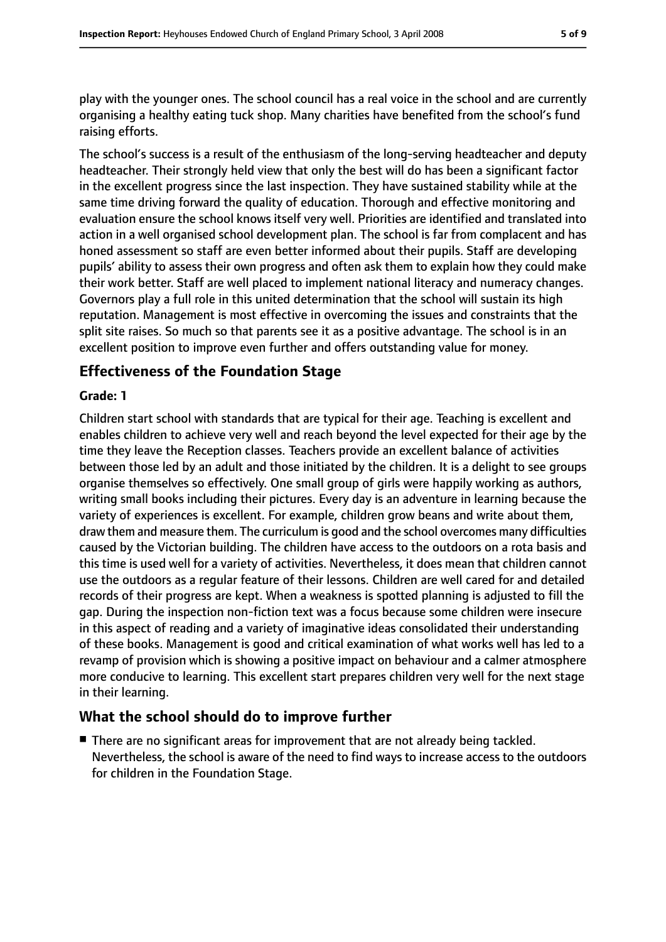play with the younger ones. The school council has a real voice in the school and are currently organising a healthy eating tuck shop. Many charities have benefited from the school's fund raising efforts.

The school's success is a result of the enthusiasm of the long-serving headteacher and deputy headteacher. Their strongly held view that only the best will do has been a significant factor in the excellent progress since the last inspection. They have sustained stability while at the same time driving forward the quality of education. Thorough and effective monitoring and evaluation ensure the school knows itself very well. Priorities are identified and translated into action in a well organised school development plan. The school is far from complacent and has honed assessment so staff are even better informed about their pupils. Staff are developing pupils' ability to assess their own progress and often ask them to explain how they could make their work better. Staff are well placed to implement national literacy and numeracy changes. Governors play a full role in this united determination that the school will sustain its high reputation. Management is most effective in overcoming the issues and constraints that the split site raises. So much so that parents see it as a positive advantage. The school is in an excellent position to improve even further and offers outstanding value for money.

#### **Effectiveness of the Foundation Stage**

#### **Grade: 1**

Children start school with standards that are typical for their age. Teaching is excellent and enables children to achieve very well and reach beyond the level expected for their age by the time they leave the Reception classes. Teachers provide an excellent balance of activities between those led by an adult and those initiated by the children. It is a delight to see groups organise themselves so effectively. One small group of girls were happily working as authors, writing small books including their pictures. Every day is an adventure in learning because the variety of experiences is excellent. For example, children grow beans and write about them, draw them and measure them. The curriculum is good and the school overcomes many difficulties caused by the Victorian building. The children have access to the outdoors on a rota basis and this time is used well for a variety of activities. Nevertheless, it does mean that children cannot use the outdoors as a regular feature of their lessons. Children are well cared for and detailed records of their progress are kept. When a weakness is spotted planning is adjusted to fill the gap. During the inspection non-fiction text was a focus because some children were insecure in this aspect of reading and a variety of imaginative ideas consolidated their understanding of these books. Management is good and critical examination of what works well has led to a revamp of provision which is showing a positive impact on behaviour and a calmer atmosphere more conducive to learning. This excellent start prepares children very well for the next stage in their learning.

## **What the school should do to improve further**

■ There are no significant areas for improvement that are not already being tackled. Nevertheless, the school is aware of the need to find ways to increase access to the outdoors for children in the Foundation Stage.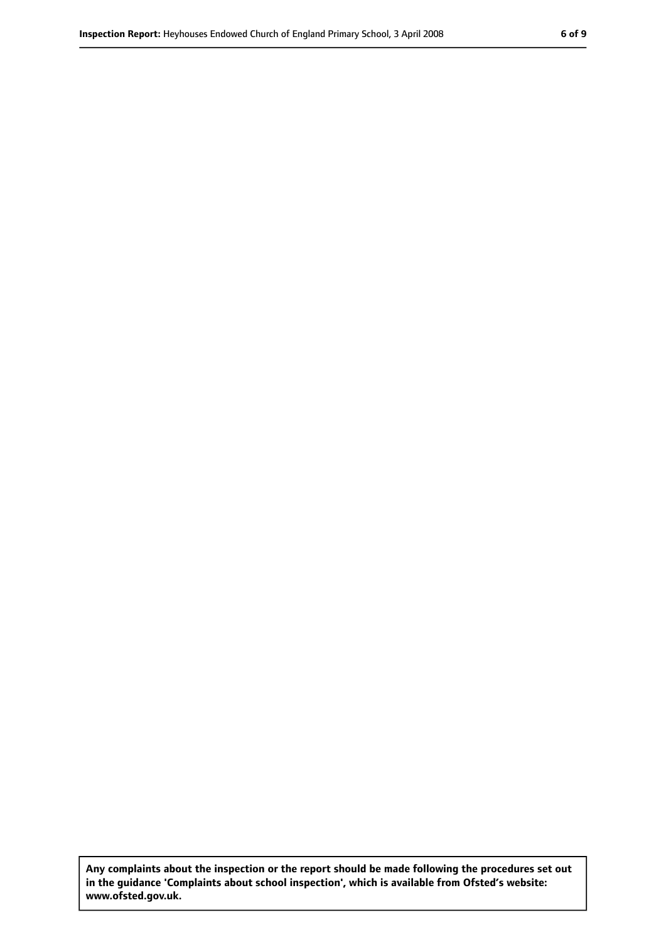**Any complaints about the inspection or the report should be made following the procedures set out in the guidance 'Complaints about school inspection', which is available from Ofsted's website: www.ofsted.gov.uk.**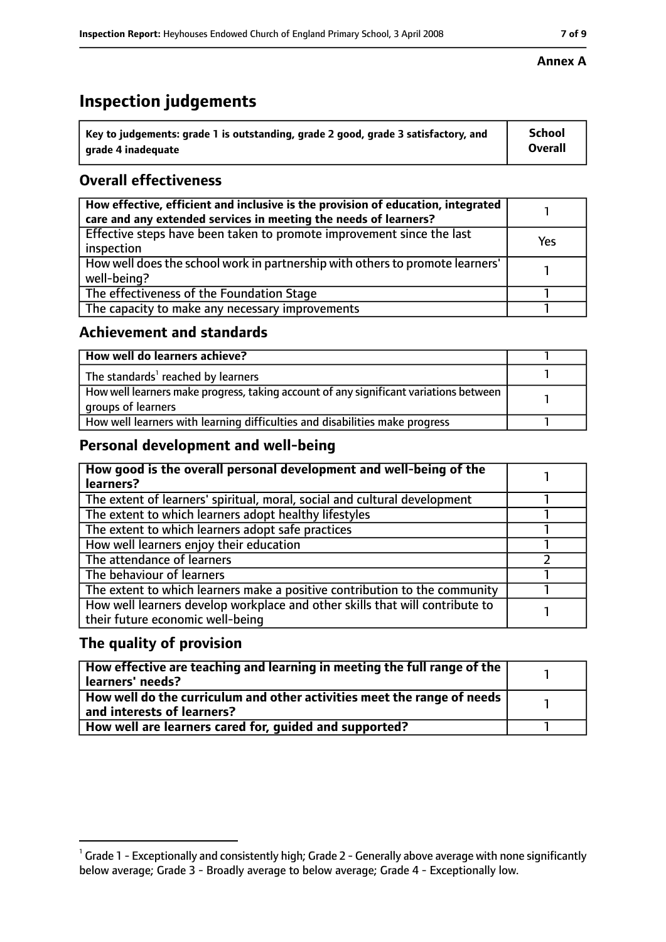# **Inspection judgements**

| $\dot{ }$ Key to judgements: grade 1 is outstanding, grade 2 good, grade 3 satisfactory, and | <b>School</b>  |
|----------------------------------------------------------------------------------------------|----------------|
| arade 4 inadequate                                                                           | <b>Overall</b> |

## **Overall effectiveness**

| How effective, efficient and inclusive is the provision of education, integrated<br>care and any extended services in meeting the needs of learners? |     |
|------------------------------------------------------------------------------------------------------------------------------------------------------|-----|
| Effective steps have been taken to promote improvement since the last<br>inspection                                                                  | Yes |
| How well does the school work in partnership with others to promote learners'<br>well-being?                                                         |     |
| The effectiveness of the Foundation Stage                                                                                                            |     |
| The capacity to make any necessary improvements                                                                                                      |     |

#### **Achievement and standards**

| How well do learners achieve?                                                                               |  |
|-------------------------------------------------------------------------------------------------------------|--|
| The standards <sup>1</sup> reached by learners                                                              |  |
| How well learners make progress, taking account of any significant variations between<br>groups of learners |  |
| How well learners with learning difficulties and disabilities make progress                                 |  |

## **Personal development and well-being**

| How good is the overall personal development and well-being of the<br>learners?                                  |  |
|------------------------------------------------------------------------------------------------------------------|--|
| The extent of learners' spiritual, moral, social and cultural development                                        |  |
| The extent to which learners adopt healthy lifestyles                                                            |  |
| The extent to which learners adopt safe practices                                                                |  |
| How well learners enjoy their education                                                                          |  |
| The attendance of learners                                                                                       |  |
| The behaviour of learners                                                                                        |  |
| The extent to which learners make a positive contribution to the community                                       |  |
| How well learners develop workplace and other skills that will contribute to<br>their future economic well-being |  |

## **The quality of provision**

| How effective are teaching and learning in meeting the full range of the<br>learners' needs?          |  |
|-------------------------------------------------------------------------------------------------------|--|
| How well do the curriculum and other activities meet the range of needs<br>and interests of learners? |  |
| How well are learners cared for, quided and supported?                                                |  |

#### **Annex A**

 $^1$  Grade 1 - Exceptionally and consistently high; Grade 2 - Generally above average with none significantly below average; Grade 3 - Broadly average to below average; Grade 4 - Exceptionally low.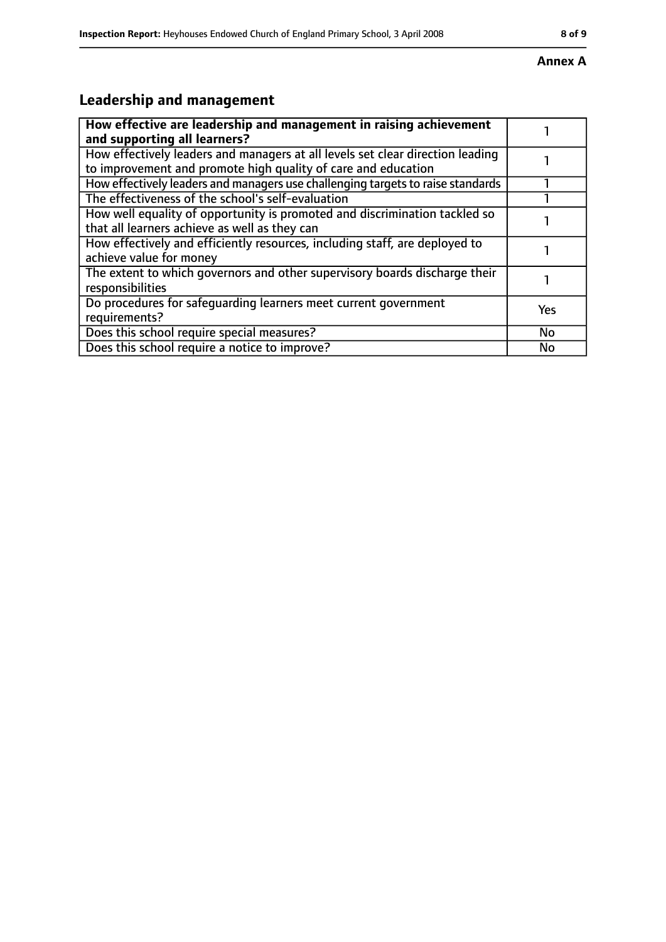#### **Annex A**

# **Leadership and management**

| How effective are leadership and management in raising achievement<br>and supporting all learners?                                              |     |
|-------------------------------------------------------------------------------------------------------------------------------------------------|-----|
| How effectively leaders and managers at all levels set clear direction leading<br>to improvement and promote high quality of care and education |     |
| How effectively leaders and managers use challenging targets to raise standards                                                                 |     |
| The effectiveness of the school's self-evaluation                                                                                               |     |
| How well equality of opportunity is promoted and discrimination tackled so<br>that all learners achieve as well as they can                     |     |
| How effectively and efficiently resources, including staff, are deployed to<br>achieve value for money                                          |     |
| The extent to which governors and other supervisory boards discharge their<br>responsibilities                                                  |     |
| Do procedures for safequarding learners meet current government<br>requirements?                                                                | Yes |
| Does this school require special measures?                                                                                                      | No  |
| Does this school require a notice to improve?                                                                                                   | No  |